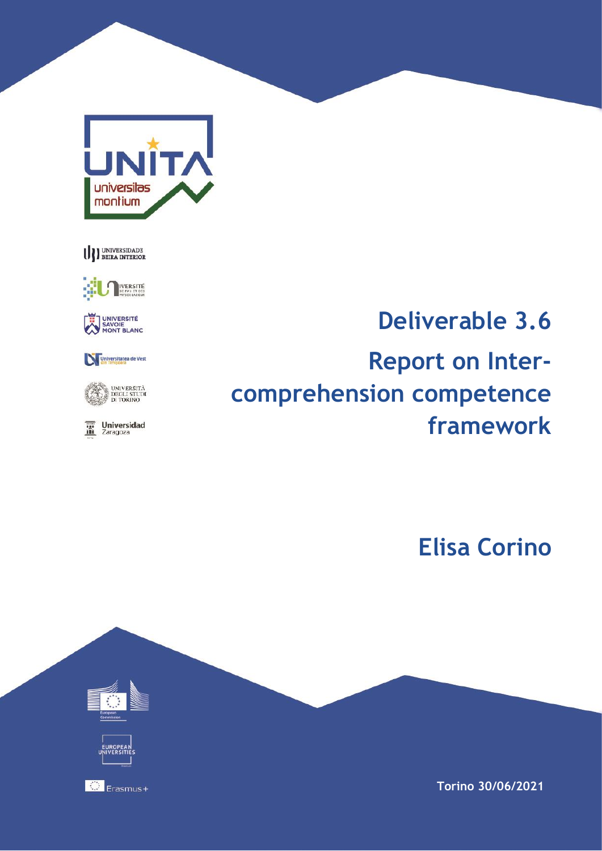





UNIVERSITÉ<br>SAVOIE<br>MONT BLANC

Universitatea de Vest



 $\overline{\mathbf{m}}$  Universidad

# **Deliverable 3.6 Report on Intercomprehension competence framework**

**Elisa Corino**



**Torino 30/06/2021**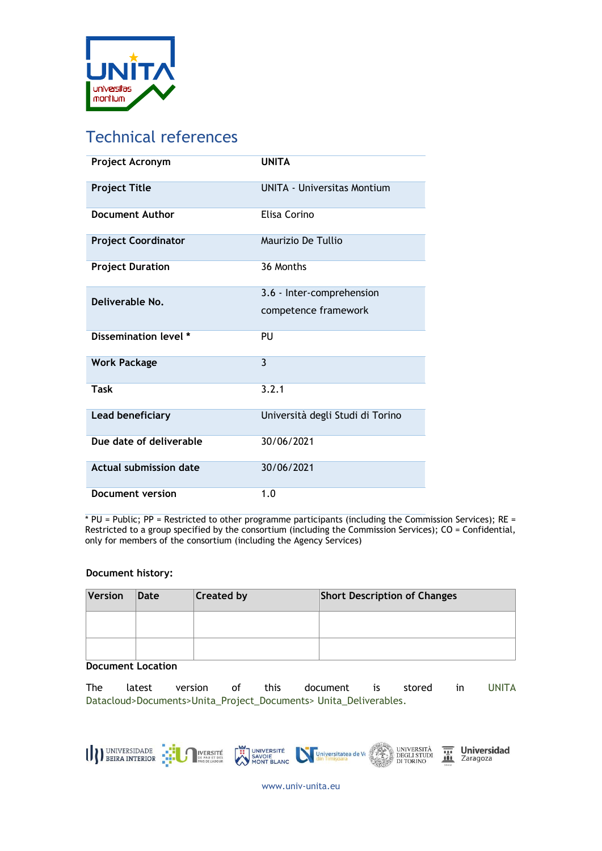

# Technical references

| Project Acronym               | <b>UNITA</b>                       |
|-------------------------------|------------------------------------|
| <b>Project Title</b>          | <b>UNITA - Universitas Montium</b> |
| <b>Document Author</b>        | Elisa Corino                       |
| <b>Project Coordinator</b>    | Maurizio De Tullio                 |
| <b>Project Duration</b>       | 36 Months                          |
| Deliverable No.               | 3.6 - Inter-comprehension          |
|                               | competence framework               |
| Dissemination level *         | PU                                 |
| <b>Work Package</b>           | $\overline{3}$                     |
| Task                          | 3.2.1                              |
| <b>Lead beneficiary</b>       | Università degli Studi di Torino   |
| Due date of deliverable       | 30/06/2021                         |
| <b>Actual submission date</b> | 30/06/2021                         |
| Document version              | 1.0                                |

 $*$  PU = Public; PP = Restricted to other programme participants (including the Commission Services); RE = Restricted to a group specified by the consortium (including the Commission Services); CO = Confidential, only for members of the consortium (including the Agency Services)

#### **Document history:**

| Version | Date | <b>Created by</b> | <b>Short Description of Changes</b> |
|---------|------|-------------------|-------------------------------------|
|         |      |                   |                                     |
|         |      |                   |                                     |

#### **Document Location**

The latest version of this document is stored in UNITA Datacloud>Documents>Unita\_Project\_Documents> Unita\_Deliverables.



**Universidad**<br>Zaragoza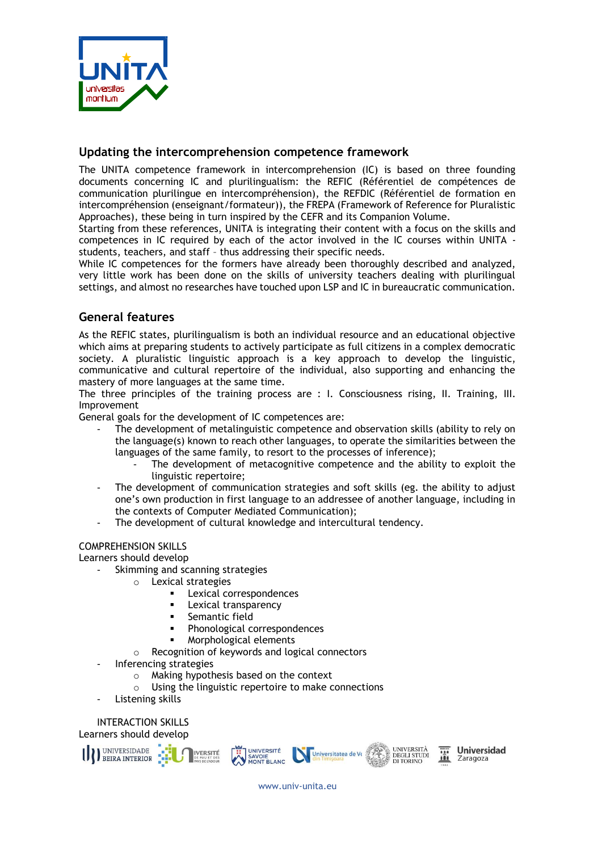

#### **Updating the intercomprehension competence framework**

The UNITA competence framework in intercomprehension (IC) is based on three founding documents concerning IC and plurilingualism: the REFIC (Référentiel de compétences de communication plurilingue en intercompréhension), the REFDIC (Référentiel de formation en intercompréhension (enseignant/formateur)), the FREPA (Framework of Reference for Pluralistic Approaches), these being in turn inspired by the CEFR and its Companion Volume.

Starting from these references, UNITA is integrating their content with a focus on the skills and competences in IC required by each of the actor involved in the IC courses within UNITA students, teachers, and staff – thus addressing their specific needs.

While IC competences for the formers have already been thoroughly described and analyzed, very little work has been done on the skills of university teachers dealing with plurilingual settings, and almost no researches have touched upon LSP and IC in bureaucratic communication.

# **General features**

As the REFIC states, plurilingualism is both an individual resource and an educational objective which aims at preparing students to actively participate as full citizens in a complex democratic society. A pluralistic linguistic approach is a key approach to develop the linguistic, communicative and cultural repertoire of the individual, also supporting and enhancing the mastery of more languages at the same time.

The three principles of the training process are : I. Consciousness rising, II. Training, III. Improvement

General goals for the development of IC competences are:

- The development of metalinguistic competence and observation skills (ability to rely on the language(s) known to reach other languages, to operate the similarities between the languages of the same family, to resort to the processes of inference);
	- The development of metacognitive competence and the ability to exploit the linguistic repertoire;
- The development of communication strategies and soft skills (eg. the ability to adjust one's own production in first language to an addressee of another language, including in the contexts of Computer Mediated Communication);
- The development of cultural knowledge and intercultural tendency.

#### COMPREHENSION SKILLS

Learners should develop

- Skimming and scanning strategies
	- o Lexical strategies
		- Lexical correspondences
		- Lexical transparency
		- Semantic field
		- Phonological correspondences
		- Morphological elements
	- o Recognition of keywords and logical connectors
- Inferencing strategies
	- o Making hypothesis based on the context
	- o Using the linguistic repertoire to make connections
- Listening skills

INTERACTION SKILLS Learners should develop



**Universidad** Zaragoza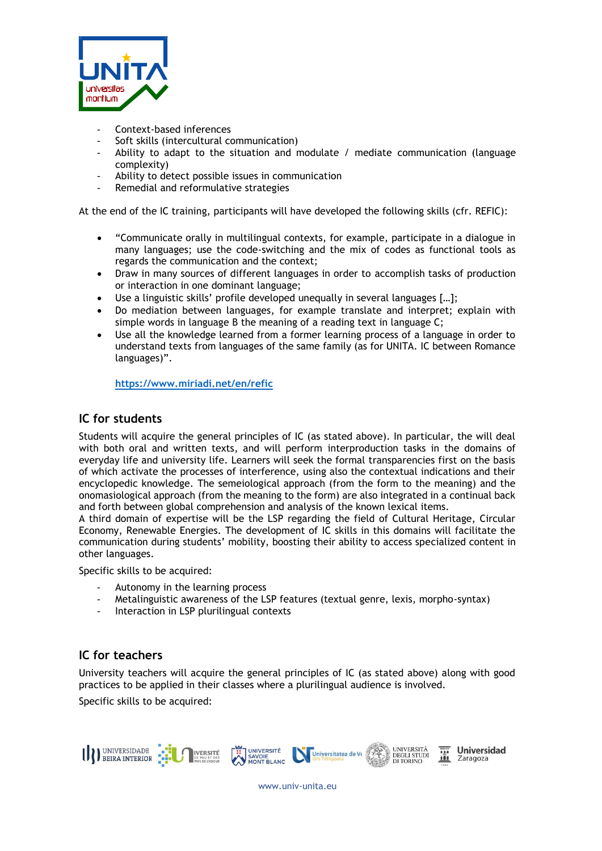

- Context-based inferences
- Soft skills (intercultural communication)
- Ability to adapt to the situation and modulate  $\ell$  mediate communication (language complexity)
- Ability to detect possible issues in communication
- Remedial and reformulative strategies

At the end of the IC training, participants will have developed the following skills (cfr. REFIC):

- "Communicate orally in multilingual contexts, for example, participate in a dialogue in many languages; use the code-switching and the mix of codes as functional tools as regards the communication and the context;
- Draw in many sources of different languages in order to accomplish tasks of production or interaction in one dominant language;
- Use a linguistic skills' profile developed unequally in several languages [...];
- Do mediation between languages, for example translate and interpret; explain with simple words in language B the meaning of a reading text in language C;
- Use all the knowledge learned from a former learning process of a language in order to understand texts from languages of the same family (as for UNITA. IC between Romance languages)".

**<https://www.miriadi.net/en/refic>**

### **IC for students**

Students will acquire the general principles of IC (as stated above). In particular, the will deal with both oral and written texts, and will perform interproduction tasks in the domains of everyday life and university life. Learners will seek the formal transparencies first on the basis of which activate the processes of interference, using also the contextual indications and their encyclopedic knowledge. The semeiological approach (from the form to the meaning) and the onomasiological approach (from the meaning to the form) are also integrated in a continual back and forth between global comprehension and analysis of the known lexical items.

A third domain of expertise will be the LSP regarding the field of Cultural Heritage, Circular Economy, Renewable Energies. The development of IC skills in this domains will facilitate the communication during students' mobility, boosting their ability to access specialized content in other languages.

Specific skills to be acquired:

- Autonomy in the learning process
- Metalinguistic awareness of the LSP features (textual genre, lexis, morpho-syntax)
- Interaction in LSP plurilingual contexts

# **IC for teachers**

University teachers will acquire the general principles of IC (as stated above) along with good practices to be applied in their classes where a plurilingual audience is involved.

Specific skills to be acquired: